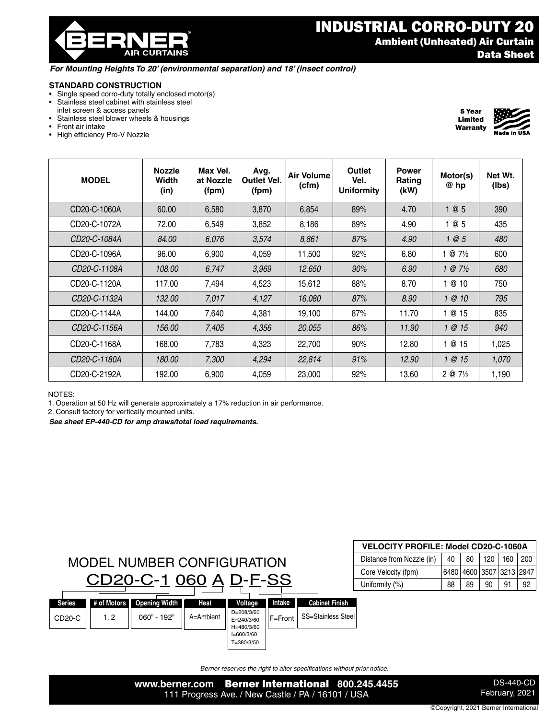® **AIR CURTAINS** 

## INDUSTRIAL CORRO-DUTY 20 Ambient (Unheated) Air Curtain Data Sheet

5 Year Limited Warranty

#### *For Mounting Heights To 20' (environmental separation) and 18' (insect control)*

#### **STANDARD CONSTRUCTION**

- Single speed corro-duty totally enclosed motor(s)
- Stainless steel cabinet with stainless steel inlet screen & access panels
- Stainless steel blower wheels & housings
- Front air intake
- High efficiency Pro-V Nozzle

| <b>MODEL</b> | <b>Nozzle</b><br>Width<br>(in) | Max Vel.<br>at Nozzle<br>(fpm) | Avg.<br><b>Outlet Vel.</b><br>(fpm) | Air Volume<br>(cfm) | Outlet<br>Vel.<br><b>Uniformity</b> | Power<br>Rating<br>(kW) | Motor(s)<br>@ hp   | Net Wt.<br>(lbs) |
|--------------|--------------------------------|--------------------------------|-------------------------------------|---------------------|-------------------------------------|-------------------------|--------------------|------------------|
| CD20-C-1060A | 60.00                          | 6,580                          | 3,870                               | 6,854               | 89%                                 | 4.70                    | 05                 | 390              |
| CD20-C-1072A | 72.00                          | 6,549                          | 3,852                               | 8,186               | 89%                                 | 4.90                    | @ 5                | 435              |
| CD20-C-1084A | 84.00                          | 6,076                          | 3,574                               | 8,861               | 87%                                 | 4.90                    | $\theta$ 5         | 480              |
| CD20-C-1096A | 96.00                          | 6,900                          | 4,059                               | 11,500              | 92%                                 | 6.80                    | $@7\frac{1}{2}$    | 600              |
| CD20-C-1108A | 108.00                         | 6,747                          | 3,969                               | 12,650              | 90%                                 | 6.90                    | $1 @ 7\frac{1}{2}$ | 680              |
| CD20-C-1120A | 117.00                         | 7,494                          | 4,523                               | 15,612              | 88%                                 | 8.70                    | 0 10               | 750              |
| CD20-C-1132A | 132.00                         | 7,017                          | 4,127                               | 16,080              | 87%                                 | 8.90                    | 1@10               | 795              |
| CD20-C-1144A | 144.00                         | 7,640                          | 4,381                               | 19,100              | 87%                                 | 11.70                   | 0 15               | 835              |
| CD20-C-1156A | 156.00                         | 7,405                          | 4,356                               | 20,055              | 86%                                 | 11.90                   | 1@15               | 940              |
| CD20-C-1168A | 168.00                         | 7,783                          | 4,323                               | 22,700              | 90%                                 | 12.80                   | 0 15               | 1,025            |
| CD20-C-1180A | 180.00                         | 7,300                          | 4,294                               | 22,814              | 91%                                 | 12.90                   | 1@15               | 1,070            |
| CD20-C-2192A | 192.00                         | 6,900                          | 4,059                               | 23,000              | 92%                                 | 13.60                   | $2 @ 7\frac{1}{2}$ | 1,190            |

NOTES:

1. Operation at 50 Hz will generate approximately a 17% reduction in air performance.

2. Consult factory for vertically mounted units.

*See sheet EP-440-CD for amp draws/total load requirements.*



| <b>VELOCITY PROFILE: Model CD20-C-1060A</b> |    |    |    |                          |  |  |  |  |  |
|---------------------------------------------|----|----|----|--------------------------|--|--|--|--|--|
| Distance from Nozzle (in)                   | 40 |    |    | 80   120   160   200     |  |  |  |  |  |
| Core Velocity (fpm)                         |    |    |    | 6480 4600 3507 3213 2947 |  |  |  |  |  |
| Uniformity (%)                              | 88 | 89 | 90 | 91                       |  |  |  |  |  |

*Berner reserves the right to alter specifications without prior notice.*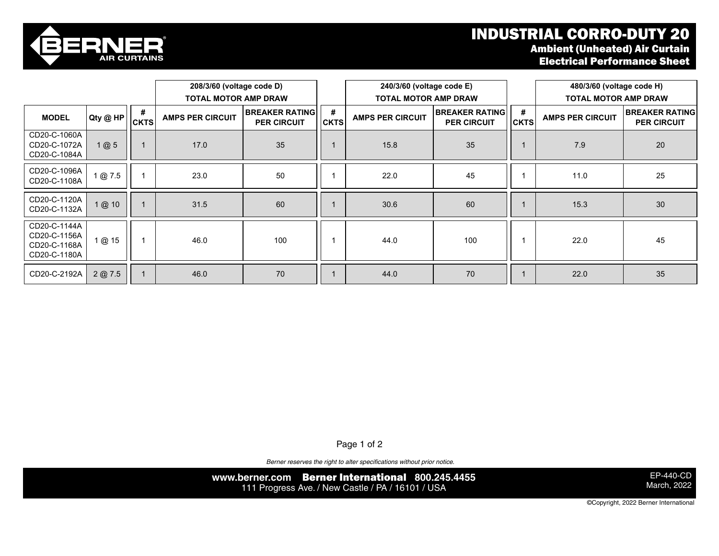# INDUSTRIAL CORRO-DUTY 20



CD20-C-1180A

### Ambient (Unheated) Air Curtain Electrical Performance Sheet

|                                                              |        |                                                        | 208/3/60 (voltage code D)                   |                  |                                                        | 240/3/60 (voltage code E)                   |                  |                                                        | 480/3/60 (voltage code H)                   |    |
|--------------------------------------------------------------|--------|--------------------------------------------------------|---------------------------------------------|------------------|--------------------------------------------------------|---------------------------------------------|------------------|--------------------------------------------------------|---------------------------------------------|----|
| #<br>Qty @ HP<br><b>MODEL</b><br><b>CKTS</b>                 |        | <b>TOTAL MOTOR AMP DRAW</b><br><b>AMPS PER CIRCUIT</b> | <b>BREAKER RATING</b><br><b>PER CIRCUIT</b> | #<br><b>CKTS</b> | <b>TOTAL MOTOR AMP DRAW</b><br><b>AMPS PER CIRCUIT</b> | <b>BREAKER RATING</b><br><b>PER CIRCUIT</b> | #<br><b>CKTS</b> | <b>TOTAL MOTOR AMP DRAW</b><br><b>AMPS PER CIRCUIT</b> | <b>BREAKER RATING</b><br><b>PER CIRCUIT</b> |    |
| CD20-C-1060A<br>CD20-C-1072A<br>CD20-C-1084A                 | 1@5    |                                                        | 17.0                                        | 35               |                                                        | 15.8                                        | 35               |                                                        | 7.9                                         | 20 |
| CD20-C-1096A<br>CD20-C-1108A                                 | 1@7.5  |                                                        | 23.0                                        | 50               |                                                        | 22.0                                        | 45               |                                                        | 11.0                                        | 25 |
| CD20-C-1120A<br>CD20-C-1132A                                 | 1@ 10  |                                                        | 31.5                                        | 60               |                                                        | 30.6                                        | 60               |                                                        | 15.3                                        | 30 |
| CD20-C-1144A<br>CD20-C-1156A<br>CD20-C-1168A<br>CD20-C-1180A | 1 @ 15 |                                                        | 46.0                                        | 100              |                                                        | 44.0                                        | 100              |                                                        | 22.0                                        | 45 |
| CD20-C-2192A                                                 | 2@7.5  |                                                        | 46.0                                        | 70               |                                                        | 44.0                                        | 70               |                                                        | 22.0                                        | 35 |

Page 1 of 2

Berner reserves the right to alter specifications without prior notice.

**www.berner.com** Berner International **800.245.4455** 111 Progress Ave. / New Castle / PA / 16101 / USA

EP-440-CD March, 2022

©Copyright, 2022 Berner International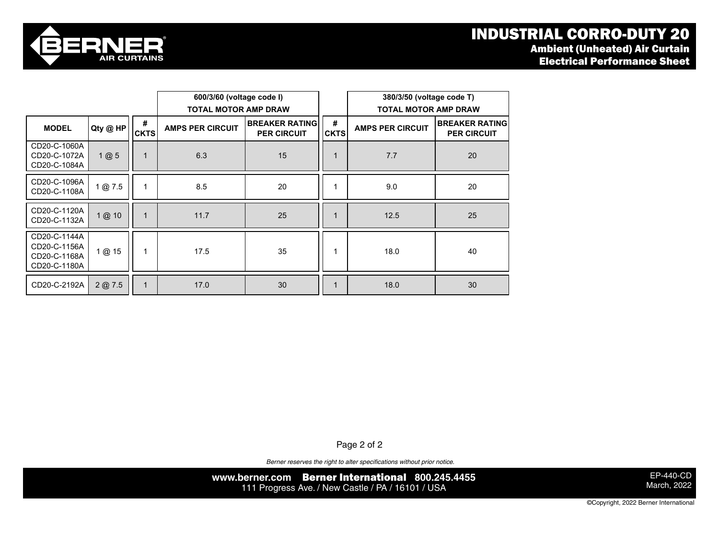

|                                                              |          |                  | 600/3/60 (voltage code I)<br><b>TOTAL MOTOR AMP DRAW</b>                |    |                  | 380/3/50 (voltage code T)<br><b>TOTAL MOTOR AMP DRAW</b> |                                             |  |
|--------------------------------------------------------------|----------|------------------|-------------------------------------------------------------------------|----|------------------|----------------------------------------------------------|---------------------------------------------|--|
| <b>MODEL</b>                                                 | Qty @ HP | #<br><b>CKTS</b> | <b>IBREAKER RATING</b><br><b>AMPS PER CIRCUIT</b><br><b>PER CIRCUIT</b> |    | #<br><b>CKTS</b> | <b>AMPS PER CIRCUIT</b>                                  | <b>BREAKER RATING</b><br><b>PER CIRCUIT</b> |  |
| CD20-C-1060A<br>CD20-C-1072A<br>CD20-C-1084A                 | 1@5      | 1                | 6.3                                                                     | 15 |                  | 7.7                                                      | 20                                          |  |
| CD20-C-1096A<br>CD20-C-1108A                                 | 1@7.5    | 1                | 8.5                                                                     | 20 |                  | 9.0                                                      | 20                                          |  |
| CD20-C-1120A<br>CD20-C-1132A                                 | 1@ 10    | $\mathbf 1$      | 11.7                                                                    | 25 |                  | 12.5                                                     | 25                                          |  |
| CD20-C-1144A<br>CD20-C-1156A<br>CD20-C-1168A<br>CD20-C-1180A | 1@ 15    | 1                | 17.5                                                                    | 35 |                  | 18.0                                                     | 40                                          |  |
| CD20-C-2192A                                                 | 2@7.5    | $\mathbf{1}$     | 17.0                                                                    | 30 |                  | 18.0                                                     | 30                                          |  |

Page 2 of 2

*Berner reserves the right to alter specifications without prior notice.*

**www.berner.com** Berner International **800.245.4455** 111 Progress Ave. / New Castle / PA / 16101 / USA

EP-440-CD March, 2022

©Copyright, 2022 Berner International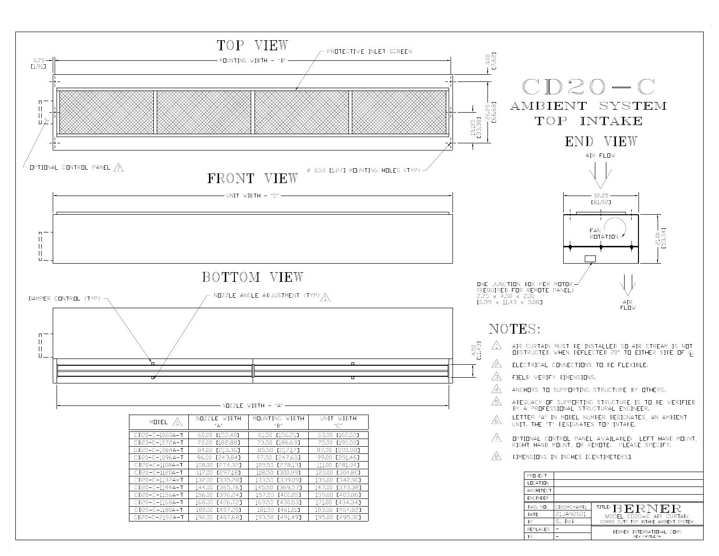